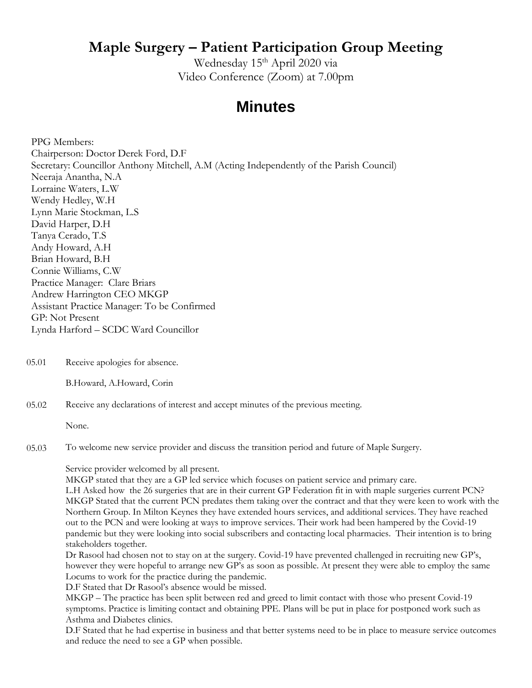## **Maple Surgery – Patient Participation Group Meeting**

Wednesday 15<sup>th</sup> April 2020 via Video Conference (Zoom) at 7.00pm

## **Minutes**

PPG Members: Chairperson: Doctor Derek Ford, D.F Secretary: Councillor Anthony Mitchell, A.M (Acting Independently of the Parish Council) Neeraja Anantha, N.A Lorraine Waters, L.W Wendy Hedley, W.H Lynn Marie Stockman, L.S David Harper, D.H Tanya Cerado, T.S Andy Howard, A.H Brian Howard, B.H Connie Williams, C.W Practice Manager: Clare Briars Andrew Harrington CEO MKGP Assistant Practice Manager: To be Confirmed GP: Not Present Lynda Harford – SCDC Ward Councillor

05.01 Receive apologies for absence.

B.Howard, A.Howard, Corin

05.02 Receive any declarations of interest and accept minutes of the previous meeting.

None.

05.03 To welcome new service provider and discuss the transition period and future of Maple Surgery.

Service provider welcomed by all present.

MKGP stated that they are a GP led service which focuses on patient service and primary care.

L.H Asked how the 26 surgeries that are in their current GP Federation fit in with maple surgeries current PCN? MKGP Stated that the current PCN predates them taking over the contract and that they were keen to work with the Northern Group. In Milton Keynes they have extended hours services, and additional services. They have reached out to the PCN and were looking at ways to improve services. Their work had been hampered by the Covid-19 pandemic but they were looking into social subscribers and contacting local pharmacies. Their intention is to bring stakeholders together.

Dr Rasool had chosen not to stay on at the surgery. Covid-19 have prevented challenged in recruiting new GP's, however they were hopeful to arrange new GP's as soon as possible. At present they were able to employ the same Locums to work for the practice during the pandemic.

D.F Stated that Dr Rasool's absence would be missed.

MKGP – The practice has been split between red and greed to limit contact with those who present Covid-19 symptoms. Practice is limiting contact and obtaining PPE. Plans will be put in place for postponed work such as Asthma and Diabetes clinics.

D.F Stated that he had expertise in business and that better systems need to be in place to measure service outcomes and reduce the need to see a GP when possible.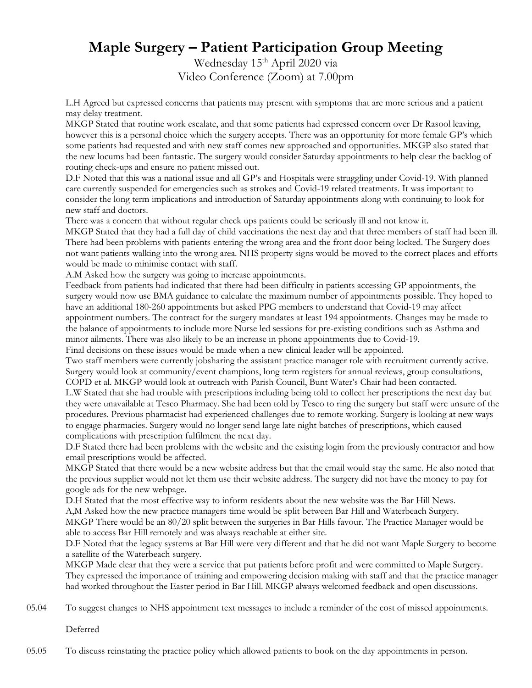## **Maple Surgery – Patient Participation Group Meeting**

Wednesday 15<sup>th</sup> April 2020 via Video Conference (Zoom) at 7.00pm

L.H Agreed but expressed concerns that patients may present with symptoms that are more serious and a patient may delay treatment.

MKGP Stated that routine work escalate, and that some patients had expressed concern over Dr Rasool leaving, however this is a personal choice which the surgery accepts. There was an opportunity for more female GP's which some patients had requested and with new staff comes new approached and opportunities. MKGP also stated that the new locums had been fantastic. The surgery would consider Saturday appointments to help clear the backlog of routing check-ups and ensure no patient missed out.

D.F Noted that this was a national issue and all GP's and Hospitals were struggling under Covid-19. With planned care currently suspended for emergencies such as strokes and Covid-19 related treatments. It was important to consider the long term implications and introduction of Saturday appointments along with continuing to look for new staff and doctors.

There was a concern that without regular check ups patients could be seriously ill and not know it.

MKGP Stated that they had a full day of child vaccinations the next day and that three members of staff had been ill. There had been problems with patients entering the wrong area and the front door being locked. The Surgery does not want patients walking into the wrong area. NHS property signs would be moved to the correct places and efforts would be made to minimise contact with staff.

A.M Asked how the surgery was going to increase appointments.

Feedback from patients had indicated that there had been difficulty in patients accessing GP appointments, the surgery would now use BMA guidance to calculate the maximum number of appointments possible. They hoped to have an additional 180-260 appointments but asked PPG members to understand that Covid-19 may affect appointment numbers. The contract for the surgery mandates at least 194 appointments. Changes may be made to the balance of appointments to include more Nurse led sessions for pre-existing conditions such as Asthma and minor ailments. There was also likely to be an increase in phone appointments due to Covid-19.

Final decisions on these issues would be made when a new clinical leader will be appointed.

Two staff members were currently jobsharing the assistant practice manager role with recruitment currently active. Surgery would look at community/event champions, long term registers for annual reviews, group consultations, COPD et al. MKGP would look at outreach with Parish Council, Bunt Water's Chair had been contacted.

L.W Stated that she had trouble with prescriptions including being told to collect her prescriptions the next day but they were unavailable at Tesco Pharmacy. She had been told by Tesco to ring the surgery but staff were unsure of the procedures. Previous pharmacist had experienced challenges due to remote working. Surgery is looking at new ways to engage pharmacies. Surgery would no longer send large late night batches of prescriptions, which caused complications with prescription fulfilment the next day.

D.F Stated there had been problems with the website and the existing login from the previously contractor and how email prescriptions would be affected.

MKGP Stated that there would be a new website address but that the email would stay the same. He also noted that the previous supplier would not let them use their website address. The surgery did not have the money to pay for google ads for the new webpage.

D.H Stated that the most effective way to inform residents about the new website was the Bar Hill News. A,M Asked how the new practice managers time would be split between Bar Hill and Waterbeach Surgery.

MKGP There would be an 80/20 split between the surgeries in Bar Hills favour. The Practice Manager would be able to access Bar Hill remotely and was always reachable at either site.

D.F Noted that the legacy systems at Bar Hill were very different and that he did not want Maple Surgery to become a satellite of the Waterbeach surgery.

MKGP Made clear that they were a service that put patients before profit and were committed to Maple Surgery. They expressed the importance of training and empowering decision making with staff and that the practice manager had worked throughout the Easter period in Bar Hill. MKGP always welcomed feedback and open discussions.

05.04 To suggest changes to NHS appointment text messages to include a reminder of the cost of missed appointments.

Deferred

05.05 To discuss reinstating the practice policy which allowed patients to book on the day appointments in person.